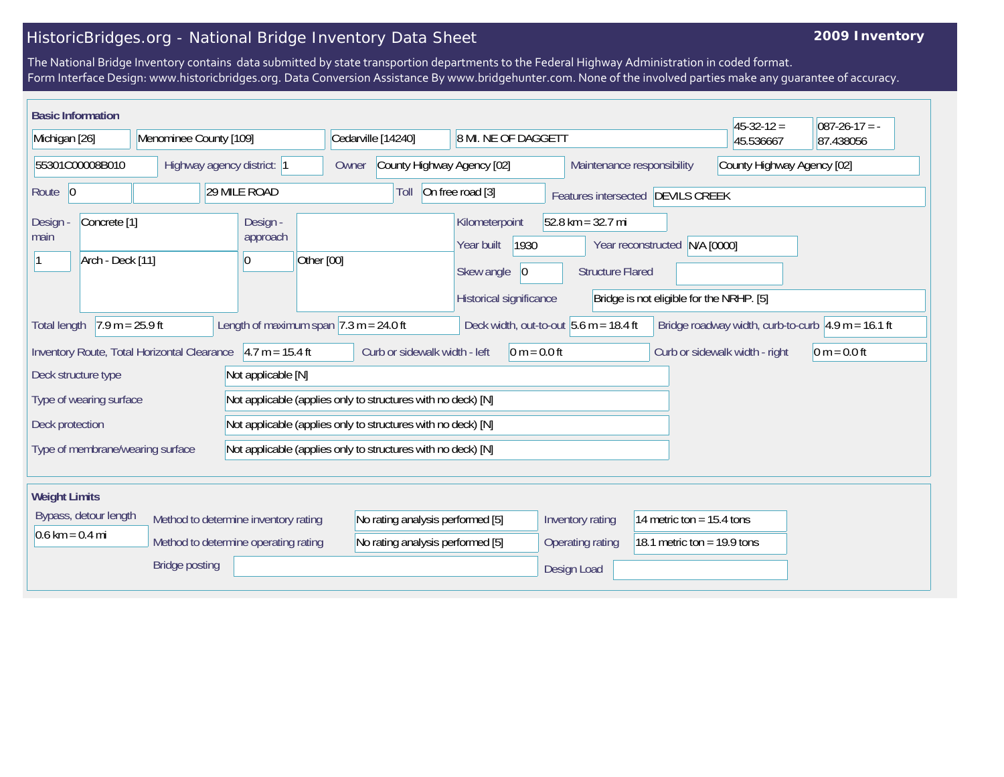## HistoricBridges.org - National Bridge Inventory Data Sheet

## **2009 Inventory**

The National Bridge Inventory contains data submitted by state transportion departments to the Federal Highway Administration in coded format. Form Interface Design: www.historicbridges.org. Data Conversion Assistance By www.bridgehunter.com. None of the involved parties make any guarantee of accuracy.

| <b>Basic Information</b>                                        |                        |                                                           |                                                              |                                                                                              |                                                                |                                                                           | $45 - 32 - 12 =$               | $087 - 26 - 17 = -$                                         |
|-----------------------------------------------------------------|------------------------|-----------------------------------------------------------|--------------------------------------------------------------|----------------------------------------------------------------------------------------------|----------------------------------------------------------------|---------------------------------------------------------------------------|--------------------------------|-------------------------------------------------------------|
| Michigan [26]                                                   | Menominee County [109] |                                                           | Cedarville [14240]                                           | 8 MI. NE OF DAGGETT                                                                          |                                                                |                                                                           | 45.536667                      | 87.438056                                                   |
| 55301C00008B010                                                 |                        | Highway agency district: 1                                | County Highway Agency [02]<br>Owner                          |                                                                                              | Maintenance responsibility                                     |                                                                           | County Highway Agency [02]     |                                                             |
| Route 0                                                         |                        | 29 MILE ROAD                                              | Toll                                                         | On free road [3]                                                                             |                                                                | Features intersected DEVILS CREEK                                         |                                |                                                             |
| Concrete <sup>[1]</sup><br>Design -<br>main<br>Arch - Deck [11] |                        | Design -<br>approach<br>Other [00]<br>0                   |                                                              | Kilometerpoint<br>1930<br>Year built<br>Skew angle<br>$ 0\rangle$<br>Historical significance | $52.8 \text{ km} = 32.7 \text{ mi}$<br><b>Structure Flared</b> | Year reconstructed N/A [0000]<br>Bridge is not eligible for the NRHP. [5] |                                |                                                             |
| $7.9 m = 25.9 ft$<br>Total length                               |                        | Length of maximum span $ 7.3 \text{ m} = 24.0 \text{ ft}$ |                                                              | Deck width, out-to-out $5.6$ m = 18.4 ft                                                     |                                                                |                                                                           |                                | Bridge roadway width, curb-to-curb $\sqrt{4.9}$ m = 16.1 ft |
| Inventory Route, Total Horizontal Clearance                     |                        | $4.7 m = 15.4 ft$                                         | Curb or sidewalk width - left                                | $0 m = 0.0 ft$                                                                               |                                                                |                                                                           | Curb or sidewalk width - right | 0 m = $0.0$ ft                                              |
| Deck structure type                                             |                        | Not applicable [N]                                        |                                                              |                                                                                              |                                                                |                                                                           |                                |                                                             |
| Type of wearing surface                                         |                        |                                                           | Not applicable (applies only to structures with no deck) [N] |                                                                                              |                                                                |                                                                           |                                |                                                             |
| Deck protection                                                 |                        |                                                           | Not applicable (applies only to structures with no deck) [N] |                                                                                              |                                                                |                                                                           |                                |                                                             |
| Type of membrane/wearing surface                                |                        |                                                           | Not applicable (applies only to structures with no deck) [N] |                                                                                              |                                                                |                                                                           |                                |                                                             |
| <b>Weight Limits</b>                                            |                        |                                                           |                                                              |                                                                                              |                                                                |                                                                           |                                |                                                             |
| Bypass, detour length<br>Method to determine inventory rating   |                        | No rating analysis performed [5]                          |                                                              | Inventory rating                                                                             | 14 metric ton = $15.4$ tons                                    |                                                                           |                                |                                                             |
| $0.6 \text{ km} = 0.4 \text{ mi}$                               |                        | Method to determine operating rating                      | No rating analysis performed [5]                             |                                                                                              | Operating rating                                               | 18.1 metric ton = $19.9$ tons                                             |                                |                                                             |
|                                                                 | <b>Bridge posting</b>  |                                                           |                                                              |                                                                                              | Design Load                                                    |                                                                           |                                |                                                             |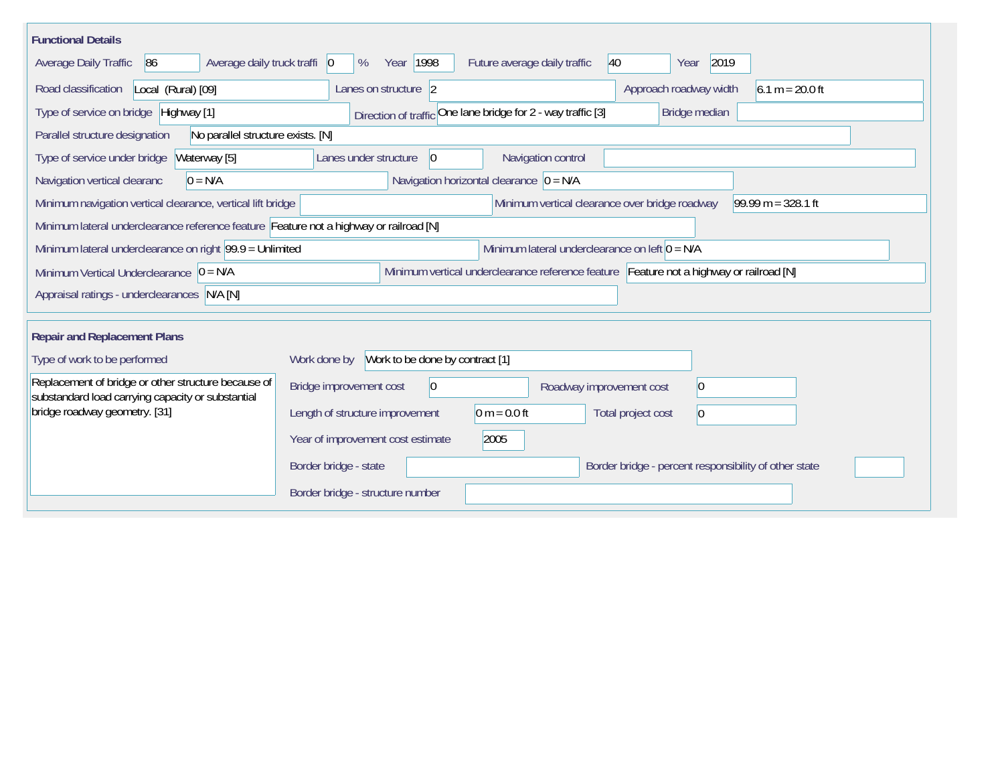| <b>Functional Details</b>                                                                                                             |                                                                                                                |  |  |  |  |  |  |  |  |
|---------------------------------------------------------------------------------------------------------------------------------------|----------------------------------------------------------------------------------------------------------------|--|--|--|--|--|--|--|--|
| Average daily truck traffi   0<br>Average Daily Traffic<br>86                                                                         | Year   1998<br>2019<br>Future average daily traffic<br>40<br>%<br>Year                                         |  |  |  |  |  |  |  |  |
| Road classification<br>Local (Rural) [09]                                                                                             | Approach roadway width<br>$6.1 m = 20.0 ft$<br>Lanes on structure 2                                            |  |  |  |  |  |  |  |  |
| Type of service on bridge Highway [1]                                                                                                 | Direction of traffic One lane bridge for 2 - way traffic [3]<br>Bridge median                                  |  |  |  |  |  |  |  |  |
| No parallel structure exists. [N]<br>Parallel structure designation                                                                   |                                                                                                                |  |  |  |  |  |  |  |  |
| Type of service under bridge<br>Waterway [5]                                                                                          | Navigation control<br>Lanes under structure<br>$ 0\rangle$                                                     |  |  |  |  |  |  |  |  |
| $0 = N/A$<br>Navigation vertical clearanc                                                                                             | Navigation horizontal clearance $ 0 = N/A$                                                                     |  |  |  |  |  |  |  |  |
| Minimum navigation vertical clearance, vertical lift bridge<br>Minimum vertical clearance over bridge roadway<br>$99.99 m = 328.1 ft$ |                                                                                                                |  |  |  |  |  |  |  |  |
| Minimum lateral underclearance reference feature Feature not a highway or railroad [N]                                                |                                                                                                                |  |  |  |  |  |  |  |  |
|                                                                                                                                       | Minimum lateral underclearance on right $99.9 =$ Unlimited<br>Minimum lateral underclearance on left $0 = N/A$ |  |  |  |  |  |  |  |  |
| Minimum Vertical Underclearance $ 0 = N/A$                                                                                            | Minimum vertical underclearance reference feature Feature not a highway or railroad [N]                        |  |  |  |  |  |  |  |  |
| Appraisal ratings - underclearances N/A [N]                                                                                           |                                                                                                                |  |  |  |  |  |  |  |  |
|                                                                                                                                       |                                                                                                                |  |  |  |  |  |  |  |  |
| <b>Repair and Replacement Plans</b>                                                                                                   |                                                                                                                |  |  |  |  |  |  |  |  |
| Type of work to be performed                                                                                                          | Work to be done by contract [1]<br>Work done by                                                                |  |  |  |  |  |  |  |  |
| Replacement of bridge or other structure because of<br>substandard load carrying capacity or substantial                              | $\overline{0}$<br>Bridge improvement cost<br> 0 <br>Roadway improvement cost                                   |  |  |  |  |  |  |  |  |
| bridge roadway geometry. [31]                                                                                                         | $0 m = 0.0 ft$<br>Length of structure improvement<br>Total project cost<br>$\vert$ <sup>0</sup>                |  |  |  |  |  |  |  |  |
|                                                                                                                                       | 2005<br>Year of improvement cost estimate                                                                      |  |  |  |  |  |  |  |  |
|                                                                                                                                       | Border bridge - state<br>Border bridge - percent responsibility of other state                                 |  |  |  |  |  |  |  |  |
|                                                                                                                                       | Border bridge - structure number                                                                               |  |  |  |  |  |  |  |  |